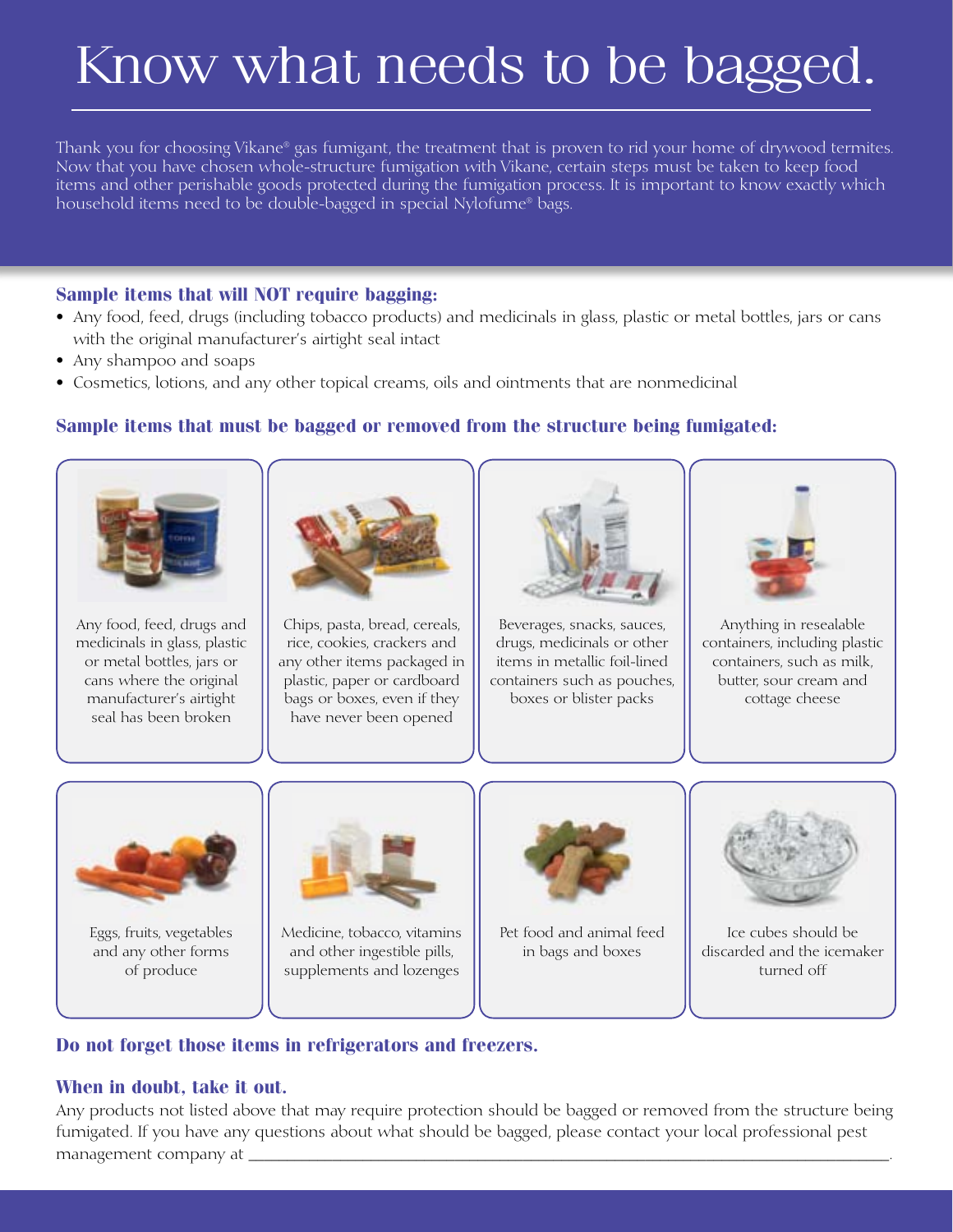# Know what needs to be bagged.

Thank you for choosing Vikane® gas fumigant, the treatment that is proven to rid your home of drywood termites. Now that you have chosen whole-structure fumigation with Vikane, certain steps must be taken to keep food items and other perishable goods protected during the fumigation process. It is important to know exactly which household items need to be double-bagged in special Nylofume® bags.

#### **Sample items that will NOT require bagging:**

- Any food, feed, drugs (including tobacco products) and medicinals in glass, plastic or metal bottles, jars or cans with the original manufacturer's airtight seal intact
- Any shampoo and soaps
- Cosmetics, lotions, and any other topical creams, oils and ointments that are nonmedicinal

#### **Sample items that must be bagged or removed from the structure being fumigated:**



Any food, feed, drugs and medicinals in glass, plastic or metal bottles, jars or cans where the original manufacturer's airtight seal has been broken



Chips, pasta, bread, cereals, rice, cookies, crackers and any other items packaged in plastic, paper or cardboard bags or boxes, even if they have never been opened



Beverages, snacks, sauces, drugs, medicinals or other items in metallic foil-lined containers such as pouches, boxes or blister packs



Anything in resealable containers, including plastic containers, such as milk, butter, sour cream and cottage cheese



Eggs, fruits, vegetables and any other forms of produce



Medicine, tobacco, vitamins and other ingestible pills, supplements and lozenges



Pet food and animal feed in bags and boxes



Ice cubes should be discarded and the icemaker turned off

#### **Do not forget those items in refrigerators and freezers.**

### **When in doubt, take it out.**

Any products not listed above that may require protection should be bagged or removed from the structure being fumigated. If you have any questions about what should be bagged, please contact your local professional pest management company at \_\_\_\_\_\_\_\_\_\_\_\_\_\_\_\_\_\_\_\_\_\_\_\_\_\_\_\_\_\_\_\_\_\_\_\_\_\_\_\_\_\_\_\_\_\_\_\_\_\_\_\_\_\_\_\_\_\_\_\_\_\_\_\_\_\_\_\_\_\_\_\_\_\_\_\_\_\_\_\_\_\_\_\_.